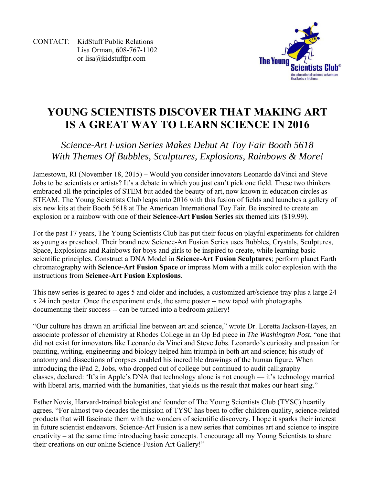CONTACT: KidStuff Public Relations Lisa Orman, 608-767-1102 or lisa@kidstuffpr.com



## **YOUNG SCIENTISTS DISCOVER THAT MAKING ART IS A GREAT WAY TO LEARN SCIENCE IN 2016**

## *Science-Art Fusion Series Makes Debut At Toy Fair Booth 5618 With Themes Of Bubbles, Sculptures, Explosions, Rainbows & More!*

Jamestown, RI (November 18, 2015) – Would you consider innovators Leonardo daVinci and Steve Jobs to be scientists or artists? It's a debate in which you just can't pick one field. These two thinkers embraced all the principles of STEM but added the beauty of art, now known in education circles as STEAM. The Young Scientists Club leaps into 2016 with this fusion of fields and launches a gallery of six new kits at their Booth 5618 at The American International Toy Fair. Be inspired to create an explosion or a rainbow with one of their **Science-Art Fusion Series** six themed kits (\$19.99).

For the past 17 years, The Young Scientists Club has put their focus on playful experiments for children as young as preschool. Their brand new Science-Art Fusion Series uses Bubbles, Crystals, Sculptures, Space, Explosions and Rainbows for boys and girls to be inspired to create, while learning basic scientific principles. Construct a DNA Model in **Science-Art Fusion Sculptures**; perform planet Earth chromatography with **Science-Art Fusion Space** or impress Mom with a milk color explosion with the instructions from **Science-Art Fusion Explosions**.

This new series is geared to ages 5 and older and includes, a customized art/science tray plus a large 24 x 24 inch poster. Once the experiment ends, the same poster -- now taped with photographs documenting their success -- can be turned into a bedroom gallery!

"Our culture has drawn an artificial line between art and science," wrote Dr. Loretta Jackson-Hayes, an associate professor of chemistry at Rhodes College in an Op Ed piece in *The Washington Post*, "one that did not exist for innovators like Leonardo da Vinci and Steve Jobs. Leonardo's curiosity and passion for painting, writing, engineering and biology helped him triumph in both art and science; his study of anatomy and dissections of corpses enabled his incredible drawings of the human figure. When introducing the iPad 2, Jobs, who dropped out of college but continued to audit calligraphy classes, declared: 'It's in Apple's DNA that technology alone is not enough — it's technology married with liberal arts, married with the humanities, that yields us the result that makes our heart sing."

Esther Novis, Harvard-trained biologist and founder of The Young Scientists Club (TYSC) heartily agrees. "For almost two decades the mission of TYSC has been to offer children quality, science-related products that will fascinate them with the wonders of scientific discovery. I hope it sparks their interest in future scientist endeavors. Science-Art Fusion is a new series that combines art and science to inspire creativity – at the same time introducing basic concepts. I encourage all my Young Scientists to share their creations on our online Science-Fusion Art Gallery!"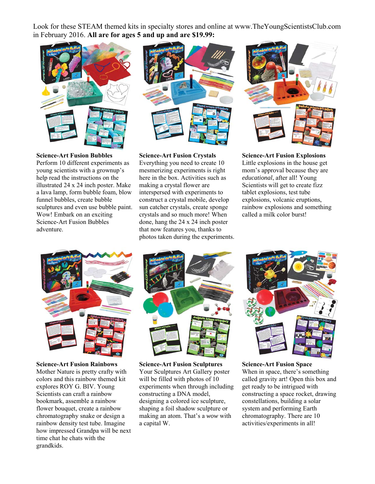Look for these STEAM themed kits in specialty stores and online at www.TheYoungScientistsClub.com in February 2016. **All are for ages 5 and up and are \$19.99:**



**Science-Art Fusion Bubbles** 

Perform 10 different experiments as young scientists with a grownup's help read the instructions on the illustrated 24 x 24 inch poster. Make a lava lamp, form bubble foam, blow funnel bubbles, create bubble sculptures and even use bubble paint. Wow! Embark on an exciting Science-Art Fusion Bubbles adventure.



**Science-Art Fusion Crystals** 

Everything you need to create 10 mesmerizing experiments is right here in the box. Activities such as making a crystal flower are interspersed with experiments to construct a crystal mobile, develop sun catcher crystals, create sponge crystals and so much more! When done, hang the 24 x 24 inch poster that now features you, thanks to photos taken during the experiments.



**Science-Art Fusion Explosions** 

Little explosions in the house get mom's approval because they are *educational*, after all! Young Scientists will get to create fizz tablet explosions, test tube explosions, volcanic eruptions, rainbow explosions and something called a milk color burst!



**Science-Art Fusion Rainbows**  Mother Nature is pretty crafty with colors and this rainbow themed kit explores ROY G. BIV. Young Scientists can craft a rainbow bookmark, assemble a rainbow flower bouquet, create a rainbow chromatography snake or design a rainbow density test tube. Imagine how impressed Grandpa will be next time chat he chats with the grandkids.



**Science-Art Fusion Sculptures**  Your Sculptures Art Gallery poster will be filled with photos of 10 experiments when through including constructing a DNA model, designing a colored ice sculpture, shaping a foil shadow sculpture or making an atom. That's a *wow* with a capital W.



**Science-Art Fusion Space**  When in space, there's something called gravity art! Open this box and get ready to be intrigued with constructing a space rocket, drawing constellations, building a solar system and performing Earth chromatography. There are 10 activities/experiments in all!